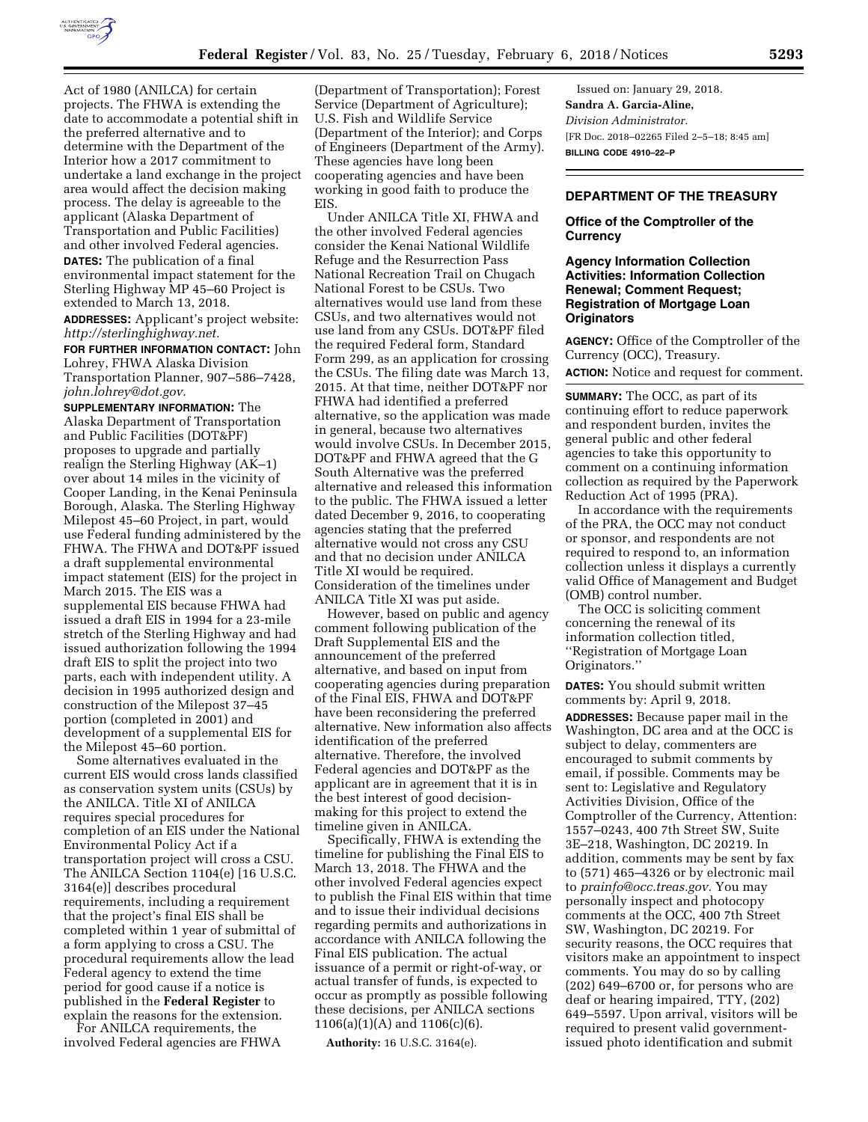

Act of 1980 (ANILCA) for certain projects. The FHWA is extending the date to accommodate a potential shift in the preferred alternative and to determine with the Department of the Interior how a 2017 commitment to undertake a land exchange in the project area would affect the decision making process. The delay is agreeable to the applicant (Alaska Department of Transportation and Public Facilities) and other involved Federal agencies. **DATES:** The publication of a final environmental impact statement for the Sterling Highway MP 45–60 Project is extended to March 13, 2018.

**ADDRESSES:** Applicant's project website: *[http://sterlinghighway.net.](http://sterlinghighway.net)* 

**FOR FURTHER INFORMATION CONTACT:** John Lohrey, FHWA Alaska Division Transportation Planner, 907–586–7428, *[john.lohrey@dot.gov.](mailto:john.lohrey@dot.gov)* 

**SUPPLEMENTARY INFORMATION:** The Alaska Department of Transportation and Public Facilities (DOT&PF) proposes to upgrade and partially realign the Sterling Highway (AK–1) over about 14 miles in the vicinity of Cooper Landing, in the Kenai Peninsula Borough, Alaska. The Sterling Highway Milepost 45–60 Project, in part, would use Federal funding administered by the FHWA. The FHWA and DOT&PF issued a draft supplemental environmental impact statement (EIS) for the project in March 2015. The EIS was a supplemental EIS because FHWA had issued a draft EIS in 1994 for a 23-mile stretch of the Sterling Highway and had issued authorization following the 1994 draft EIS to split the project into two parts, each with independent utility. A decision in 1995 authorized design and construction of the Milepost 37–45 portion (completed in 2001) and development of a supplemental EIS for the Milepost 45–60 portion.

Some alternatives evaluated in the current EIS would cross lands classified as conservation system units (CSUs) by the ANILCA. Title XI of ANILCA requires special procedures for completion of an EIS under the National Environmental Policy Act if a transportation project will cross a CSU. The ANILCA Section 1104(e) [16 U.S.C. 3164(e)] describes procedural requirements, including a requirement that the project's final EIS shall be completed within 1 year of submittal of a form applying to cross a CSU. The procedural requirements allow the lead Federal agency to extend the time period for good cause if a notice is published in the **Federal Register** to explain the reasons for the extension.

For ANILCA requirements, the involved Federal agencies are FHWA

(Department of Transportation); Forest Service (Department of Agriculture); U.S. Fish and Wildlife Service (Department of the Interior); and Corps of Engineers (Department of the Army). These agencies have long been cooperating agencies and have been working in good faith to produce the EIS.

Under ANILCA Title XI, FHWA and the other involved Federal agencies consider the Kenai National Wildlife Refuge and the Resurrection Pass National Recreation Trail on Chugach National Forest to be CSUs. Two alternatives would use land from these CSUs, and two alternatives would not use land from any CSUs. DOT&PF filed the required Federal form, Standard Form 299, as an application for crossing the CSUs. The filing date was March 13, 2015. At that time, neither DOT&PF nor FHWA had identified a preferred alternative, so the application was made in general, because two alternatives would involve CSUs. In December 2015, DOT&PF and FHWA agreed that the G South Alternative was the preferred alternative and released this information to the public. The FHWA issued a letter dated December 9, 2016, to cooperating agencies stating that the preferred alternative would not cross any CSU and that no decision under ANILCA Title XI would be required. Consideration of the timelines under ANILCA Title XI was put aside.

However, based on public and agency comment following publication of the Draft Supplemental EIS and the announcement of the preferred alternative, and based on input from cooperating agencies during preparation of the Final EIS, FHWA and DOT&PF have been reconsidering the preferred alternative. New information also affects identification of the preferred alternative. Therefore, the involved Federal agencies and DOT&PF as the applicant are in agreement that it is in the best interest of good decisionmaking for this project to extend the timeline given in ANILCA.

Specifically, FHWA is extending the timeline for publishing the Final EIS to March 13, 2018. The FHWA and the other involved Federal agencies expect to publish the Final EIS within that time and to issue their individual decisions regarding permits and authorizations in accordance with ANILCA following the Final EIS publication. The actual issuance of a permit or right-of-way, or actual transfer of funds, is expected to occur as promptly as possible following these decisions, per ANILCA sections 1106(a)(1)(A) and 1106(c)(6).

**Authority:** 16 U.S.C. 3164(e).

Issued on: January 29, 2018. **Sandra A. Garcia-Aline,**  *Division Administrator.*  [FR Doc. 2018–02265 Filed 2–5–18; 8:45 am] **BILLING CODE 4910–22–P** 

# **DEPARTMENT OF THE TREASURY**

# **Office of the Comptroller of the Currency**

# **Agency Information Collection Activities: Information Collection Renewal; Comment Request; Registration of Mortgage Loan Originators**

**AGENCY:** Office of the Comptroller of the Currency (OCC), Treasury.

**ACTION:** Notice and request for comment.

**SUMMARY:** The OCC, as part of its continuing effort to reduce paperwork and respondent burden, invites the general public and other federal agencies to take this opportunity to comment on a continuing information collection as required by the Paperwork Reduction Act of 1995 (PRA).

In accordance with the requirements of the PRA, the OCC may not conduct or sponsor, and respondents are not required to respond to, an information collection unless it displays a currently valid Office of Management and Budget (OMB) control number.

The OCC is soliciting comment concerning the renewal of its information collection titled, ''Registration of Mortgage Loan Originators.''

**DATES:** You should submit written comments by: April 9, 2018.

**ADDRESSES:** Because paper mail in the Washington, DC area and at the OCC is subject to delay, commenters are encouraged to submit comments by email, if possible. Comments may be sent to: Legislative and Regulatory Activities Division, Office of the Comptroller of the Currency, Attention: 1557–0243, 400 7th Street SW, Suite 3E–218, Washington, DC 20219. In addition, comments may be sent by fax to (571) 465–4326 or by electronic mail to *[prainfo@occ.treas.gov.](mailto:prainfo@occ.treas.gov)* You may personally inspect and photocopy comments at the OCC, 400 7th Street SW, Washington, DC 20219. For security reasons, the OCC requires that visitors make an appointment to inspect comments. You may do so by calling (202) 649–6700 or, for persons who are deaf or hearing impaired, TTY, (202) 649–5597. Upon arrival, visitors will be required to present valid governmentissued photo identification and submit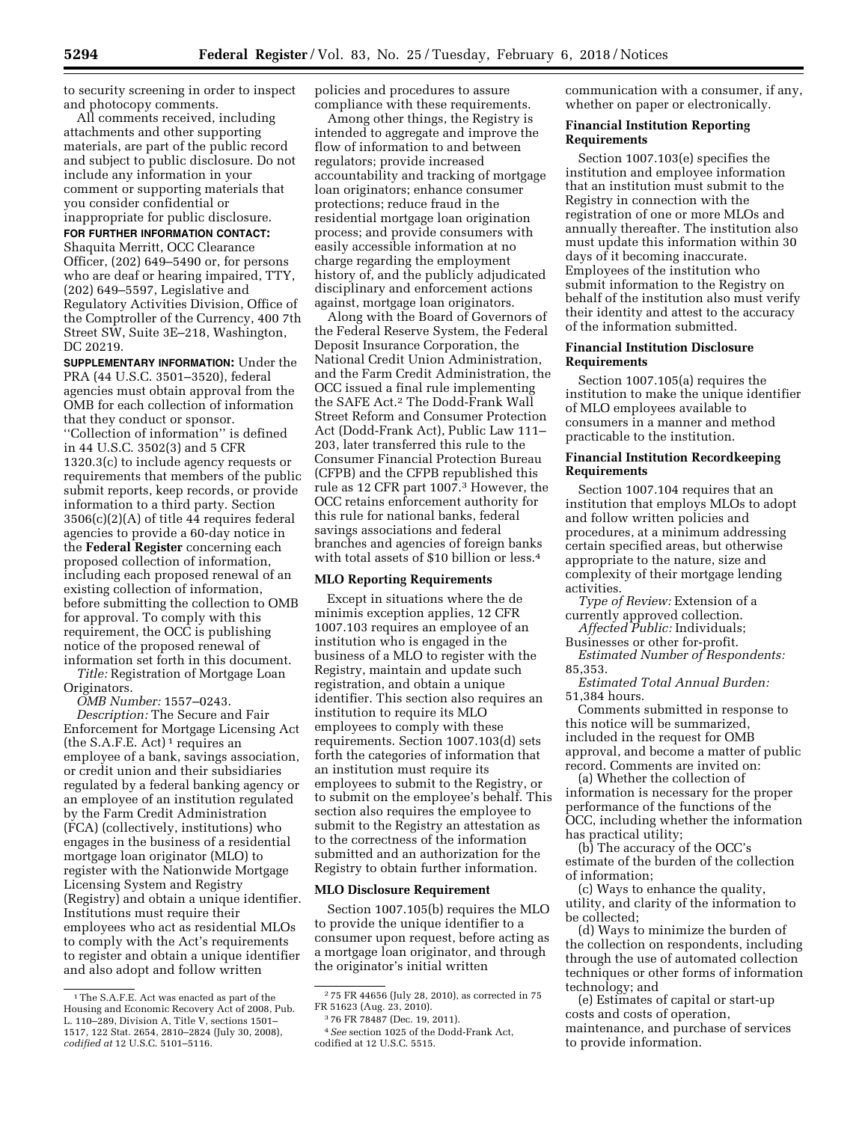to security screening in order to inspect and photocopy comments.

All comments received, including attachments and other supporting materials, are part of the public record and subject to public disclosure. Do not include any information in your comment or supporting materials that you consider confidential or inappropriate for public disclosure. **FOR FURTHER INFORMATION CONTACT:**  Shaquita Merritt, OCC Clearance Officer, (202) 649–5490 or, for persons who are deaf or hearing impaired, TTY, (202) 649–5597, Legislative and Regulatory Activities Division, Office of the Comptroller of the Currency, 400 7th Street SW, Suite 3E–218, Washington, DC 20219.

**SUPPLEMENTARY INFORMATION:** Under the PRA (44 U.S.C. 3501–3520), federal agencies must obtain approval from the OMB for each collection of information that they conduct or sponsor. ''Collection of information'' is defined in 44 U.S.C. 3502(3) and 5 CFR 1320.3(c) to include agency requests or requirements that members of the public submit reports, keep records, or provide information to a third party. Section 3506(c)(2)(A) of title 44 requires federal agencies to provide a 60-day notice in the **Federal Register** concerning each proposed collection of information, including each proposed renewal of an existing collection of information, before submitting the collection to OMB for approval. To comply with this requirement, the OCC is publishing notice of the proposed renewal of information set forth in this document.

*Title:* Registration of Mortgage Loan Originators.

*OMB Number:* 1557–0243.

*Description:* The Secure and Fair Enforcement for Mortgage Licensing Act (the  $S.A.F.E. Act$ )<sup>1</sup> requires an employee of a bank, savings association, or credit union and their subsidiaries regulated by a federal banking agency or an employee of an institution regulated by the Farm Credit Administration (FCA) (collectively, institutions) who engages in the business of a residential mortgage loan originator (MLO) to register with the Nationwide Mortgage Licensing System and Registry (Registry) and obtain a unique identifier. Institutions must require their employees who act as residential MLOs to comply with the Act's requirements to register and obtain a unique identifier and also adopt and follow written

policies and procedures to assure compliance with these requirements.

Among other things, the Registry is intended to aggregate and improve the flow of information to and between regulators; provide increased accountability and tracking of mortgage loan originators; enhance consumer protections; reduce fraud in the residential mortgage loan origination process; and provide consumers with easily accessible information at no charge regarding the employment history of, and the publicly adjudicated disciplinary and enforcement actions against, mortgage loan originators.

Along with the Board of Governors of the Federal Reserve System, the Federal Deposit Insurance Corporation, the National Credit Union Administration, and the Farm Credit Administration, the OCC issued a final rule implementing the SAFE Act.2 The Dodd-Frank Wall Street Reform and Consumer Protection Act (Dodd-Frank Act), Public Law 111– 203, later transferred this rule to the Consumer Financial Protection Bureau (CFPB) and the CFPB republished this rule as 12 CFR part 1007.3 However, the OCC retains enforcement authority for this rule for national banks, federal savings associations and federal branches and agencies of foreign banks with total assets of \$10 billion or less.4

### **MLO Reporting Requirements**

Except in situations where the de minimis exception applies, 12 CFR 1007.103 requires an employee of an institution who is engaged in the business of a MLO to register with the Registry, maintain and update such registration, and obtain a unique identifier. This section also requires an institution to require its MLO employees to comply with these requirements. Section 1007.103(d) sets forth the categories of information that an institution must require its employees to submit to the Registry, or to submit on the employee's behalf. This section also requires the employee to submit to the Registry an attestation as to the correctness of the information submitted and an authorization for the Registry to obtain further information.

### **MLO Disclosure Requirement**

Section 1007.105(b) requires the MLO to provide the unique identifier to a consumer upon request, before acting as a mortgage loan originator, and through the originator's initial written

communication with a consumer, if any, whether on paper or electronically.

### **Financial Institution Reporting Requirements**

Section 1007.103(e) specifies the institution and employee information that an institution must submit to the Registry in connection with the registration of one or more MLOs and annually thereafter. The institution also must update this information within 30 days of it becoming inaccurate. Employees of the institution who submit information to the Registry on behalf of the institution also must verify their identity and attest to the accuracy of the information submitted.

### **Financial Institution Disclosure Requirements**

Section 1007.105(a) requires the institution to make the unique identifier of MLO employees available to consumers in a manner and method practicable to the institution.

## **Financial Institution Recordkeeping Requirements**

Section 1007.104 requires that an institution that employs MLOs to adopt and follow written policies and procedures, at a minimum addressing certain specified areas, but otherwise appropriate to the nature, size and complexity of their mortgage lending activities.

*Type of Review:* Extension of a currently approved collection.

*Affected Public:* Individuals; Businesses or other for-profit.

*Estimated Number of Respondents:*  85,353.

*Estimated Total Annual Burden:*  51,384 hours.

Comments submitted in response to this notice will be summarized, included in the request for OMB approval, and become a matter of public record. Comments are invited on:

(a) Whether the collection of information is necessary for the proper performance of the functions of the OCC, including whether the information has practical utility;

(b) The accuracy of the OCC's estimate of the burden of the collection of information;

(c) Ways to enhance the quality, utility, and clarity of the information to be collected;

(d) Ways to minimize the burden of the collection on respondents, including through the use of automated collection techniques or other forms of information technology; and

(e) Estimates of capital or start-up costs and costs of operation, maintenance, and purchase of services to provide information.

<sup>1</sup>The S.A.F.E. Act was enacted as part of the Housing and Economic Recovery Act of 2008, Pub. L. 110–289, Division A, Title V, sections 1501– 1517, 122 Stat. 2654, 2810–2824 (July 30, 2008), *codified at* 12 U.S.C. 5101–5116.

<sup>2</sup> 75 FR 44656 (July 28, 2010), as corrected in 75 FR 51623 (Aug. 23, 2010).

<sup>3</sup> 76 FR 78487 (Dec. 19, 2011).

<sup>4</sup>*See* section 1025 of the Dodd-Frank Act, codified at 12 U.S.C. 5515.